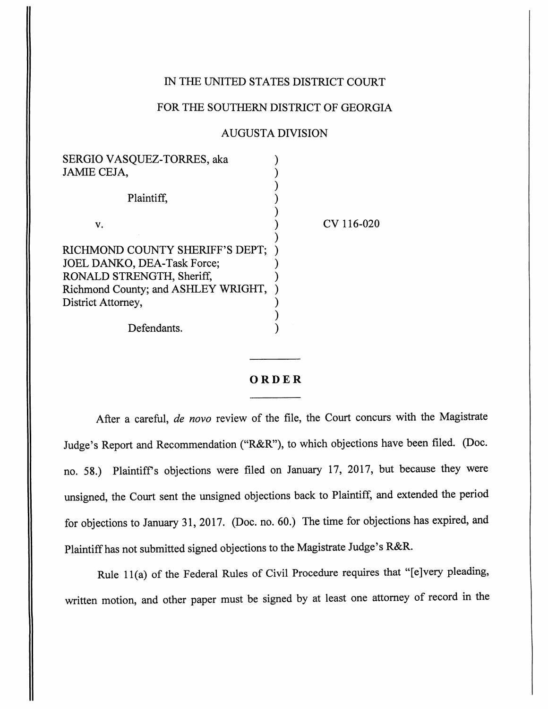## IN THE UNITED STATES DISTRICT COURT

[Vasquez-Torres v. Richmond County Sheriff's Department et al](https://dockets.justia.com/docket/georgia/gasdce/1:2016cv00020/68411/) [Doc. 61](https://docs.justia.com/cases/federal/district-courts/georgia/gasdce/1:2016cv00020/68411/61/)

## FOR THE SOUTHERN DISTRICT OF GEORGIA

## AUGUSTA DIVISION

| SERGIO VASQUEZ-TORRES, aka          |            |
|-------------------------------------|------------|
| JAMIE CEJA,                         |            |
| Plaintiff.                          |            |
| v.                                  | CV 116-020 |
|                                     |            |
| RICHMOND COUNTY SHERIFF'S DEPT;     |            |
| JOEL DANKO, DEA-Task Force;         |            |
| RONALD STRENGTH, Sheriff,           |            |
| Richmond County; and ASHLEY WRIGHT, |            |
| District Attorney,                  |            |
|                                     |            |
| Defendants.                         |            |
|                                     |            |

## *ORDER*

After a careful, **de novo** review of the file, the Court concurs with the Magistrate Judge's Report and Recommendation ("R&R"), to which objections have been filed. (Doc. no. 58.) Plaintiffs objections were filed on January 17, 2017, but because they were unsigned, the Court sent the unsigned objections back to Plaintiff, and extended the period for objections to January 31, 2017. (Doc. no. 60.) The time for objections has expired, and Plaintiff has not submitted signed objections to the Magistrate Judge's R&R.

Rule 11(a) of the Federal Rules of Civil Procedure requires that "[e]very pleading, written motion, and other paper must be signed by at least one attorney of record in the